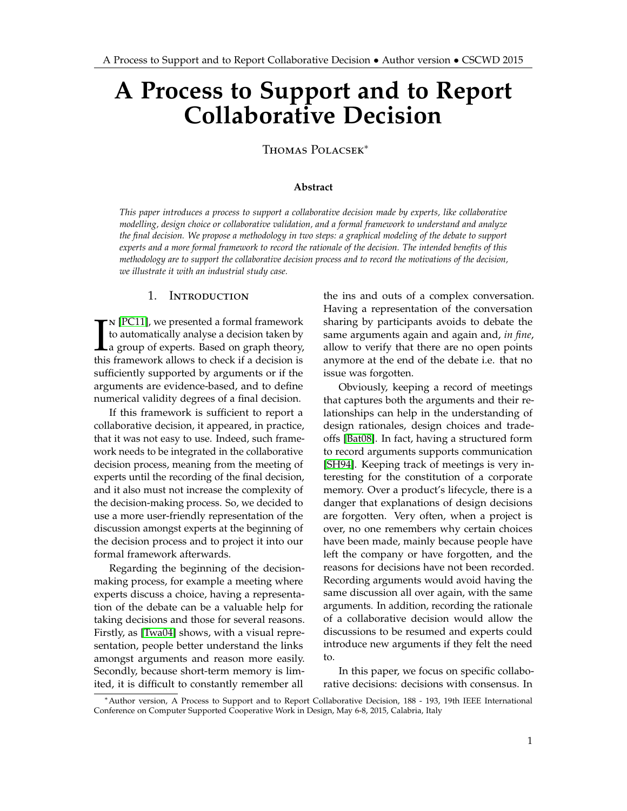# **A Process to Support and to Report Collaborative Decision**

Thomas Polacsek<sup>∗</sup>

#### **Abstract**

*This paper introduces a process to support a collaborative decision made by experts, like collaborative modelling, design choice or collaborative validation, and a formal framework to understand and analyze the final decision. We propose a methodology in two steps: a graphical modeling of the debate to support experts and a more formal framework to record the rationale of the decision. The intended benefits of this methodology are to support the collaborative decision process and to record the motivations of the decision, we illustrate it with an industrial study case.*

### 1. Introduction

 $\prod_{\textnormal{\tiny{this}}}$ n [\[PC11\]](#page-8-0), we presented a formal framework to automatically analyse a decision taken by a group of experts. Based on graph theory, this framework allows to check if a decision is sufficiently supported by arguments or if the arguments are evidence-based, and to define numerical validity degrees of a final decision.

If this framework is sufficient to report a collaborative decision, it appeared, in practice, that it was not easy to use. Indeed, such framework needs to be integrated in the collaborative decision process, meaning from the meeting of experts until the recording of the final decision, and it also must not increase the complexity of the decision-making process. So, we decided to use a more user-friendly representation of the discussion amongst experts at the beginning of the decision process and to project it into our formal framework afterwards.

Regarding the beginning of the decisionmaking process, for example a meeting where experts discuss a choice, having a representation of the debate can be a valuable help for taking decisions and those for several reasons. Firstly, as [\[Twa04\]](#page-8-1) shows, with a visual representation, people better understand the links amongst arguments and reason more easily. Secondly, because short-term memory is limited, it is difficult to constantly remember all

the ins and outs of a complex conversation. Having a representation of the conversation sharing by participants avoids to debate the same arguments again and again and, *in fine*, allow to verify that there are no open points anymore at the end of the debate i.e. that no issue was forgotten.

Obviously, keeping a record of meetings that captures both the arguments and their relationships can help in the understanding of design rationales, design choices and tradeoffs [\[Bat08\]](#page-7-0). In fact, having a structured form to record arguments supports communication [\[SH94\]](#page-8-2). Keeping track of meetings is very interesting for the constitution of a corporate memory. Over a product's lifecycle, there is a danger that explanations of design decisions are forgotten. Very often, when a project is over, no one remembers why certain choices have been made, mainly because people have left the company or have forgotten, and the reasons for decisions have not been recorded. Recording arguments would avoid having the same discussion all over again, with the same arguments. In addition, recording the rationale of a collaborative decision would allow the discussions to be resumed and experts could introduce new arguments if they felt the need to.

In this paper, we focus on specific collaborative decisions: decisions with consensus. In

<sup>∗</sup>Author version, A Process to Support and to Report Collaborative Decision, 188 - 193, 19th IEEE International Conference on Computer Supported Cooperative Work in Design, May 6-8, 2015, Calabria, Italy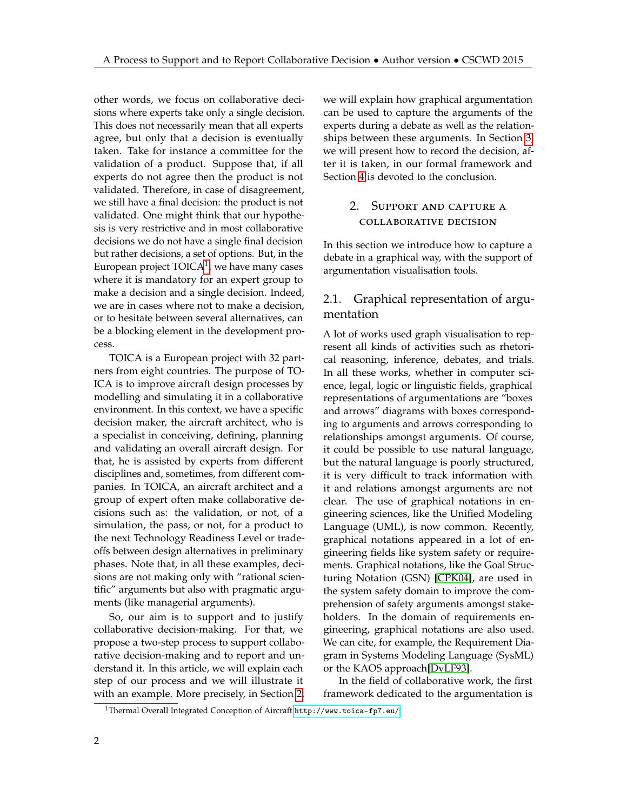other words, we focus on collaborative decisions where experts take only a single decision. This does not necessarily mean that all experts agree, but only that a decision is eventually taken. Take for instance a committee for the validation of a product. Suppose that, if all experts do not agree then the product is not validated. Therefore, in case of disagreement, we still have a final decision: the product is not validated. One might think that our hypothesis is very restrictive and in most collaborative decisions we do not have a single final decision but rather decisions, a set of options. But, in the European project TOICA<sup>[1](#page-1-0)</sup>, we have many cases where it is mandatory for an expert group to make a decision and a single decision. Indeed, we are in cases where not to make a decision, or to hesitate between several alternatives, can be a blocking element in the development process.

TOICA is a European project with 32 partners from eight countries. The purpose of TO-ICA is to improve aircraft design processes by modelling and simulating it in a collaborative environment. In this context, we have a specific decision maker, the aircraft architect, who is a specialist in conceiving, defining, planning and validating an overall aircraft design. For that, he is assisted by experts from different disciplines and, sometimes, from different companies. In TOICA, an aircraft architect and a group of expert often make collaborative decisions such as: the validation, or not, of a simulation, the pass, or not, for a product to the next Technology Readiness Level or tradeoffs between design alternatives in preliminary phases. Note that, in all these examples, decisions are not making only with "rational scientific" arguments but also with pragmatic arguments (like managerial arguments).

So, our aim is to support and to justify collaborative decision-making. For that, we propose a two-step process to support collaborative decision-making and to report and understand it. In this article, we will explain each step of our process and we will illustrate it with an example. More precisely, in Section [2,](#page-1-1)

we will explain how graphical argumentation can be used to capture the arguments of the experts during a debate as well as the relationships between these arguments. In Section [3,](#page-4-0) we will present how to record the decision, after it is taken, in our formal framework and Section [4](#page-6-0) is devoted to the conclusion.

# <span id="page-1-1"></span>2. Support and capture a collaborative decision

In this section we introduce how to capture a debate in a graphical way, with the support of argumentation visualisation tools.

# 2.1. Graphical representation of argumentation

A lot of works used graph visualisation to represent all kinds of activities such as rhetorical reasoning, inference, debates, and trials. In all these works, whether in computer science, legal, logic or linguistic fields, graphical representations of argumentations are "boxes and arrows" diagrams with boxes corresponding to arguments and arrows corresponding to relationships amongst arguments. Of course, it could be possible to use natural language, but the natural language is poorly structured, it is very difficult to track information with it and relations amongst arguments are not clear. The use of graphical notations in engineering sciences, like the Unified Modeling Language (UML), is now common. Recently, graphical notations appeared in a lot of engineering fields like system safety or requirements. Graphical notations, like the Goal Structuring Notation (GSN) [\[CPK04\]](#page-7-1), are used in the system safety domain to improve the comprehension of safety arguments amongst stakeholders. In the domain of requirements engineering, graphical notations are also used. We can cite, for example, the Requirement Diagram in Systems Modeling Language (SysML) or the KAOS approach[\[DvLF93\]](#page-7-2).

In the field of collaborative work, the first framework dedicated to the argumentation is

<span id="page-1-0"></span><sup>1</sup>Thermal Overall Integrated Conception of Aircraft <http://www.toica-fp7.eu/>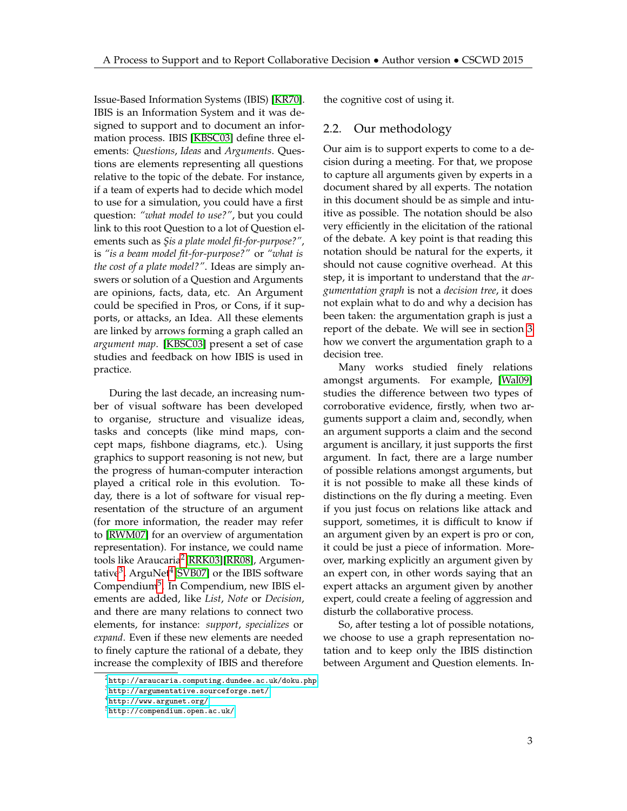Issue-Based Information Systems (IBIS) [\[KR70\]](#page-8-3). IBIS is an Information System and it was designed to support and to document an information process. IBIS [\[KBSC03\]](#page-8-4) define three elements: *Questions*, *Ideas* and *Arguments*. Questions are elements representing all questions relative to the topic of the debate. For instance, if a team of experts had to decide which model to use for a simulation, you could have a first question: *"what model to use?"*, but you could link to this root Question to a lot of Question elements such as *¸Sis a plate model fit-for-purpose?"*, is *"is a beam model fit-for-purpose?"* or *"what is the cost of a plate model?"*. Ideas are simply answers or solution of a Question and Arguments are opinions, facts, data, etc. An Argument could be specified in Pros, or Cons, if it supports, or attacks, an Idea. All these elements are linked by arrows forming a graph called an *argument map*. [\[KBSC03\]](#page-8-4) present a set of case studies and feedback on how IBIS is used in practice.

During the last decade, an increasing number of visual software has been developed to organise, structure and visualize ideas, tasks and concepts (like mind maps, concept maps, fishbone diagrams, etc.). Using graphics to support reasoning is not new, but the progress of human-computer interaction played a critical role in this evolution. Today, there is a lot of software for visual representation of the structure of an argument (for more information, the reader may refer to [\[RWM07\]](#page-8-5) for an overview of argumentation representation). For instance, we could name tools like Araucaria<sup>[2](#page-2-0)</sup>[\[RRK03\]](#page-8-6)[\[RR08\]](#page-8-7), Argumen-tative<sup>[3](#page-2-1)</sup>, ArguNet<sup>[4](#page-2-2)</sup>[\[SVB07\]](#page-8-8) or the IBIS software Compendium<sup>[5](#page-2-3)</sup>. In Compendium, new IBIS elements are added, like *List*, *Note* or *Decision*, and there are many relations to connect two elements, for instance: *support*, *specializes* or *expand*. Even if these new elements are needed to finely capture the rational of a debate, they increase the complexity of IBIS and therefore

the cognitive cost of using it.

## 2.2. Our methodology

Our aim is to support experts to come to a decision during a meeting. For that, we propose to capture all arguments given by experts in a document shared by all experts. The notation in this document should be as simple and intuitive as possible. The notation should be also very efficiently in the elicitation of the rational of the debate. A key point is that reading this notation should be natural for the experts, it should not cause cognitive overhead. At this step, it is important to understand that the *argumentation graph* is not a *decision tree*, it does not explain what to do and why a decision has been taken: the argumentation graph is just a report of the debate. We will see in section [3](#page-4-0) how we convert the argumentation graph to a decision tree.

Many works studied finely relations amongst arguments. For example, [\[Wal09\]](#page-8-9) studies the difference between two types of corroborative evidence, firstly, when two arguments support a claim and, secondly, when an argument supports a claim and the second argument is ancillary, it just supports the first argument. In fact, there are a large number of possible relations amongst arguments, but it is not possible to make all these kinds of distinctions on the fly during a meeting. Even if you just focus on relations like attack and support, sometimes, it is difficult to know if an argument given by an expert is pro or con, it could be just a piece of information. Moreover, marking explicitly an argument given by an expert con, in other words saying that an expert attacks an argument given by another expert, could create a feeling of aggression and disturb the collaborative process.

So, after testing a lot of possible notations, we choose to use a graph representation notation and to keep only the IBIS distinction between Argument and Question elements. In-

<span id="page-2-0"></span><sup>2</sup><http://araucaria.computing.dundee.ac.uk/doku.php>

<span id="page-2-1"></span><sup>3</sup><http://argumentative.sourceforge.net/>

<span id="page-2-2"></span><sup>4</sup><http://www.argunet.org/>

<span id="page-2-3"></span><sup>5</sup><http://compendium.open.ac.uk/>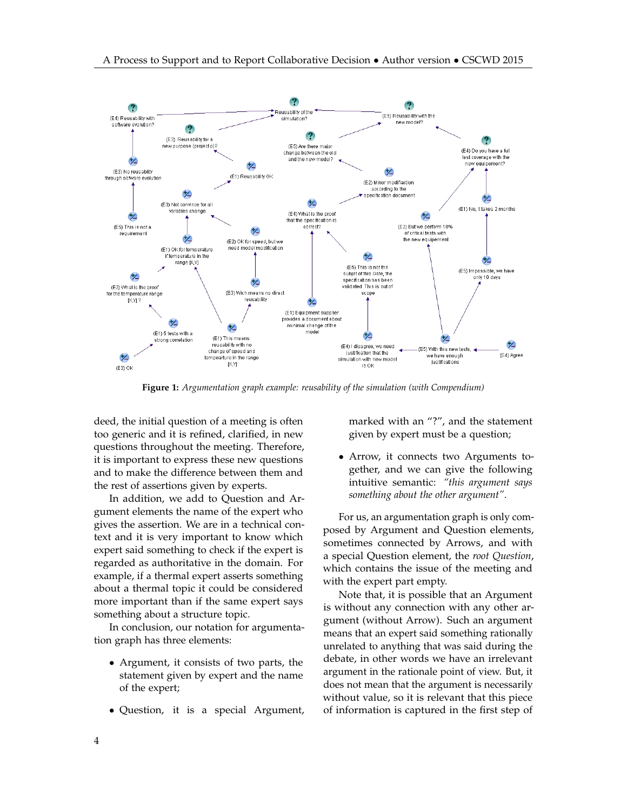<span id="page-3-0"></span>

**Figure 1:** *Argumentation graph example: reusability of the simulation (with Compendium)*

deed, the initial question of a meeting is often too generic and it is refined, clarified, in new questions throughout the meeting. Therefore, it is important to express these new questions and to make the difference between them and the rest of assertions given by experts.

In addition, we add to Question and Argument elements the name of the expert who gives the assertion. We are in a technical context and it is very important to know which expert said something to check if the expert is regarded as authoritative in the domain. For example, if a thermal expert asserts something about a thermal topic it could be considered more important than if the same expert says something about a structure topic.

In conclusion, our notation for argumentation graph has three elements:

- Argument, it consists of two parts, the statement given by expert and the name of the expert;
- Question, it is a special Argument,

marked with an "?", and the statement given by expert must be a question;

• Arrow, it connects two Arguments together, and we can give the following intuitive semantic: *"this argument says something about the other argument"*.

For us, an argumentation graph is only composed by Argument and Question elements, sometimes connected by Arrows, and with a special Question element, the *root Question*, which contains the issue of the meeting and with the expert part empty.

Note that, it is possible that an Argument is without any connection with any other argument (without Arrow). Such an argument means that an expert said something rationally unrelated to anything that was said during the debate, in other words we have an irrelevant argument in the rationale point of view. But, it does not mean that the argument is necessarily without value, so it is relevant that this piece of information is captured in the first step of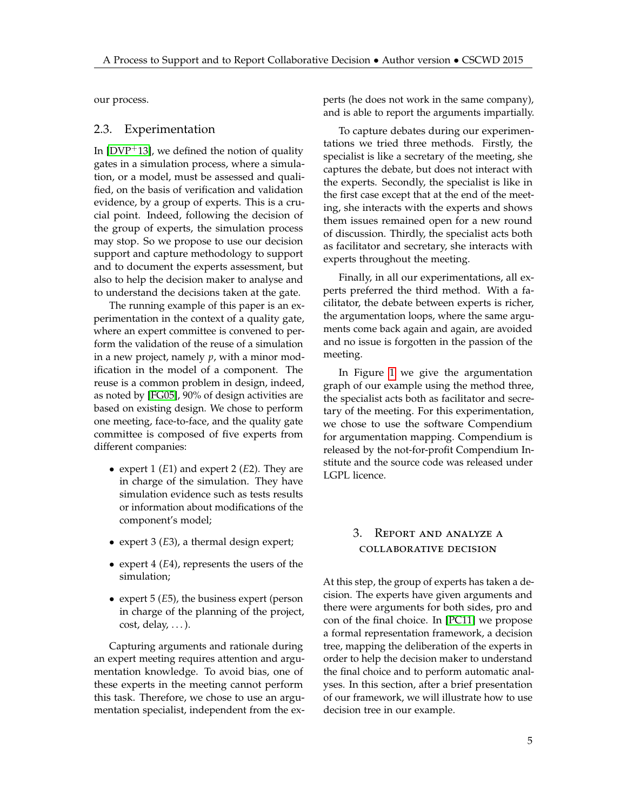our process.

## 2.3. Experimentation

In  $[DVP+13]$  $[DVP+13]$ , we defined the notion of quality gates in a simulation process, where a simulation, or a model, must be assessed and qualified, on the basis of verification and validation evidence, by a group of experts. This is a crucial point. Indeed, following the decision of the group of experts, the simulation process may stop. So we propose to use our decision support and capture methodology to support and to document the experts assessment, but also to help the decision maker to analyse and to understand the decisions taken at the gate.

The running example of this paper is an experimentation in the context of a quality gate, where an expert committee is convened to perform the validation of the reuse of a simulation in a new project, namely *p*, with a minor modification in the model of a component. The reuse is a common problem in design, indeed, as noted by [\[FG05\]](#page-8-10), 90% of design activities are based on existing design. We chose to perform one meeting, face-to-face, and the quality gate committee is composed of five experts from different companies:

- expert 1 (*E*1) and expert 2 (*E*2). They are in charge of the simulation. They have simulation evidence such as tests results or information about modifications of the component's model;
- expert 3 (*E*3), a thermal design expert;
- expert 4 (*E*4), represents the users of the simulation;
- expert 5 (*E*5), the business expert (person in charge of the planning of the project, cost, delay, ...).

Capturing arguments and rationale during an expert meeting requires attention and argumentation knowledge. To avoid bias, one of these experts in the meeting cannot perform this task. Therefore, we chose to use an argumentation specialist, independent from the experts (he does not work in the same company), and is able to report the arguments impartially.

To capture debates during our experimentations we tried three methods. Firstly, the specialist is like a secretary of the meeting, she captures the debate, but does not interact with the experts. Secondly, the specialist is like in the first case except that at the end of the meeting, she interacts with the experts and shows them issues remained open for a new round of discussion. Thirdly, the specialist acts both as facilitator and secretary, she interacts with experts throughout the meeting.

Finally, in all our experimentations, all experts preferred the third method. With a facilitator, the debate between experts is richer, the argumentation loops, where the same arguments come back again and again, are avoided and no issue is forgotten in the passion of the meeting.

In Figure [1](#page-3-0) we give the argumentation graph of our example using the method three, the specialist acts both as facilitator and secretary of the meeting. For this experimentation, we chose to use the software Compendium for argumentation mapping. Compendium is released by the not-for-profit Compendium Institute and the source code was released under LGPL licence.

# <span id="page-4-0"></span>3. Report and analyze a collaborative decision

At this step, the group of experts has taken a decision. The experts have given arguments and there were arguments for both sides, pro and con of the final choice. In [\[PC11\]](#page-8-0) we propose a formal representation framework, a decision tree, mapping the deliberation of the experts in order to help the decision maker to understand the final choice and to perform automatic analyses. In this section, after a brief presentation of our framework, we will illustrate how to use decision tree in our example.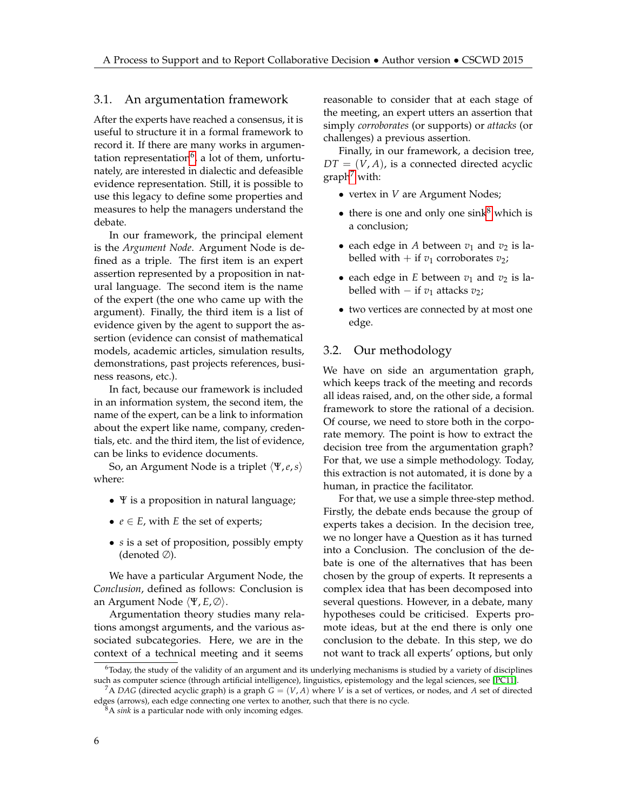## 3.1. An argumentation framework

After the experts have reached a consensus, it is useful to structure it in a formal framework to record it. If there are many works in argumen-tation representation<sup>[6](#page-5-0)</sup>, a lot of them, unfortunately, are interested in dialectic and defeasible evidence representation. Still, it is possible to use this legacy to define some properties and measures to help the managers understand the debate.

In our framework, the principal element is the *Argument Node*. Argument Node is defined as a triple. The first item is an expert assertion represented by a proposition in natural language. The second item is the name of the expert (the one who came up with the argument). Finally, the third item is a list of evidence given by the agent to support the assertion (evidence can consist of mathematical models, academic articles, simulation results, demonstrations, past projects references, business reasons, etc.).

In fact, because our framework is included in an information system, the second item, the name of the expert, can be a link to information about the expert like name, company, credentials, etc. and the third item, the list of evidence, can be links to evidence documents.

So, an Argument Node is a triplet hΨ,*e*,*s*i where:

- Ψ is a proposition in natural language;
- $e \in E$ , with *E* the set of experts;
- *s* is a set of proposition, possibly empty (denoted ∅).

We have a particular Argument Node, the *Conclusion*, defined as follows: Conclusion is an Argument Node  $\langle \Psi, E, \emptyset \rangle$ .

Argumentation theory studies many relations amongst arguments, and the various associated subcategories. Here, we are in the context of a technical meeting and it seems reasonable to consider that at each stage of the meeting, an expert utters an assertion that simply *corroborates* (or supports) or *attacks* (or challenges) a previous assertion.

Finally, in our framework, a decision tree,  $DT = (V, A)$ , is a connected directed acyclic  $graph<sup>7</sup>$  $graph<sup>7</sup>$  $graph<sup>7</sup>$  with:

- vertex in *V* are Argument Nodes;
- there is one and only one sink $8$  which is a conclusion;
- each edge in *A* between  $v_1$  and  $v_2$  is labelled with  $+$  if  $v_1$  corroborates  $v_2$ ;
- each edge in *E* between  $v_1$  and  $v_2$  is labelled with  $-$  if  $v_1$  attacks  $v_2$ ;
- two vertices are connected by at most one edge.

#### 3.2. Our methodology

We have on side an argumentation graph, which keeps track of the meeting and records all ideas raised, and, on the other side, a formal framework to store the rational of a decision. Of course, we need to store both in the corporate memory. The point is how to extract the decision tree from the argumentation graph? For that, we use a simple methodology. Today, this extraction is not automated, it is done by a human, in practice the facilitator.

For that, we use a simple three-step method. Firstly, the debate ends because the group of experts takes a decision. In the decision tree, we no longer have a Question as it has turned into a Conclusion. The conclusion of the debate is one of the alternatives that has been chosen by the group of experts. It represents a complex idea that has been decomposed into several questions. However, in a debate, many hypotheses could be criticised. Experts promote ideas, but at the end there is only one conclusion to the debate. In this step, we do not want to track all experts' options, but only

<span id="page-5-0"></span> $6T$ oday, the study of the validity of an argument and its underlying mechanisms is studied by a variety of disciplines such as computer science (through artificial intelligence), linguistics, epistemology and the legal sciences, see [\[PC11\]](#page-8-0).

<span id="page-5-1"></span><sup>7</sup>A *DAG* (directed acyclic graph) is a graph *G* = (*V*, *A*) where *V* is a set of vertices, or nodes, and *A* set of directed edges (arrows), each edge connecting one vertex to another, such that there is no cycle.

<span id="page-5-2"></span><sup>8</sup>A *sink* is a particular node with only incoming edges.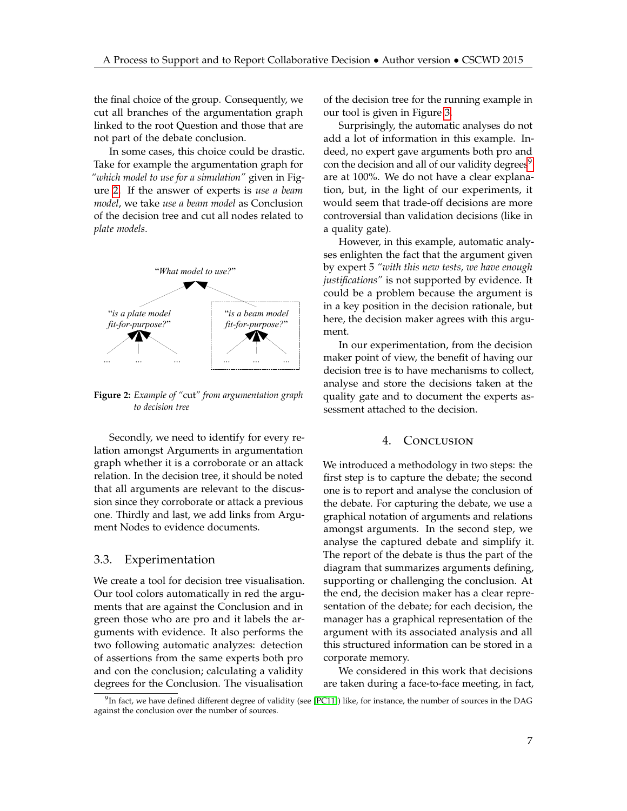the final choice of the group. Consequently, we cut all branches of the argumentation graph linked to the root Question and those that are not part of the debate conclusion.

In some cases, this choice could be drastic. Take for example the argumentation graph for *"which model to use for a simulation"* given in Figure [2.](#page-6-1) If the answer of experts is *use a beam model*, we take *use a beam model* as Conclusion of the decision tree and cut all nodes related to *plate models*.

<span id="page-6-1"></span>

**Figure 2:** *Example of "*cut*" from argumentation graph to decision tree*

Secondly, we need to identify for every relation amongst Arguments in argumentation graph whether it is a corroborate or an attack relation. In the decision tree, it should be noted that all arguments are relevant to the discussion since they corroborate or attack a previous one. Thirdly and last, we add links from Argument Nodes to evidence documents.

## 3.3. Experimentation

We create a tool for decision tree visualisation. Our tool colors automatically in red the arguments that are against the Conclusion and in green those who are pro and it labels the arguments with evidence. It also performs the two following automatic analyzes: detection of assertions from the same experts both pro and con the conclusion; calculating a validity degrees for the Conclusion. The visualisation

of the decision tree for the running example in our tool is given in Figure [3.](#page-7-4)

Surprisingly, the automatic analyses do not add a lot of information in this example. Indeed, no expert gave arguments both pro and con the decision and all of our validity degrees<sup>[9](#page-6-2)</sup> are at 100%. We do not have a clear explanation, but, in the light of our experiments, it would seem that trade-off decisions are more controversial than validation decisions (like in a quality gate).

However, in this example, automatic analyses enlighten the fact that the argument given by expert 5 *"with this new tests, we have enough justifications"* is not supported by evidence. It could be a problem because the argument is in a key position in the decision rationale, but here, the decision maker agrees with this argument.

In our experimentation, from the decision maker point of view, the benefit of having our decision tree is to have mechanisms to collect, analyse and store the decisions taken at the quality gate and to document the experts assessment attached to the decision.

## 4. Conclusion

<span id="page-6-0"></span>We introduced a methodology in two steps: the first step is to capture the debate; the second one is to report and analyse the conclusion of the debate. For capturing the debate, we use a graphical notation of arguments and relations amongst arguments. In the second step, we analyse the captured debate and simplify it. The report of the debate is thus the part of the diagram that summarizes arguments defining, supporting or challenging the conclusion. At the end, the decision maker has a clear representation of the debate; for each decision, the manager has a graphical representation of the argument with its associated analysis and all this structured information can be stored in a corporate memory.

We considered in this work that decisions are taken during a face-to-face meeting, in fact,

<span id="page-6-2"></span> $^9$ In fact, we have defined different degree of validity (see [\[PC11\]](#page-8-0)) like, for instance, the number of sources in the DAG against the conclusion over the number of sources.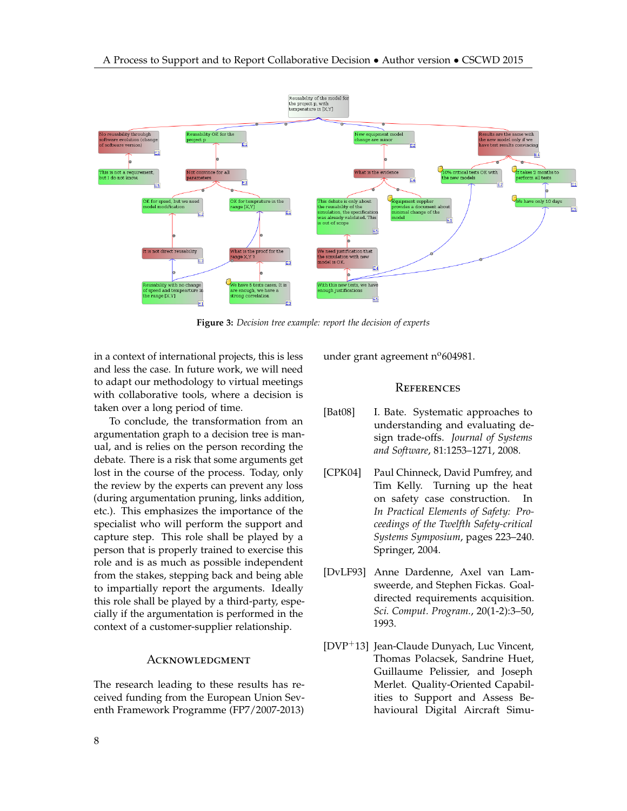<span id="page-7-4"></span>

**Figure 3:** *Decision tree example: report the decision of experts*

in a context of international projects, this is less and less the case. In future work, we will need to adapt our methodology to virtual meetings with collaborative tools, where a decision is taken over a long period of time.

To conclude, the transformation from an argumentation graph to a decision tree is manual, and is relies on the person recording the debate. There is a risk that some arguments get lost in the course of the process. Today, only the review by the experts can prevent any loss (during argumentation pruning, links addition, etc.). This emphasizes the importance of the specialist who will perform the support and capture step. This role shall be played by a person that is properly trained to exercise this role and is as much as possible independent from the stakes, stepping back and being able to impartially report the arguments. Ideally this role shall be played by a third-party, especially if the argumentation is performed in the context of a customer-supplier relationship.

### **ACKNOWLEDGMENT**

The research leading to these results has received funding from the European Union Seventh Framework Programme (FP7/2007-2013) under grant agreement  $n^{0}604981$ .

## **REFERENCES**

- <span id="page-7-0"></span>[Bat08] I. Bate. Systematic approaches to understanding and evaluating design trade-offs. *Journal of Systems and Software*, 81:1253–1271, 2008.
- <span id="page-7-1"></span>[CPK04] Paul Chinneck, David Pumfrey, and Tim Kelly. Turning up the heat on safety case construction. In *In Practical Elements of Safety: Proceedings of the Twelfth Safety-critical Systems Symposium*, pages 223–240. Springer, 2004.
- <span id="page-7-2"></span>[DvLF93] Anne Dardenne, Axel van Lamsweerde, and Stephen Fickas. Goaldirected requirements acquisition. *Sci. Comput. Program.*, 20(1-2):3–50, 1993.
- <span id="page-7-3"></span>[DVP+13] Jean-Claude Dunyach, Luc Vincent, Thomas Polacsek, Sandrine Huet, Guillaume Pelissier, and Joseph Merlet. Quality-Oriented Capabilities to Support and Assess Behavioural Digital Aircraft Simu-